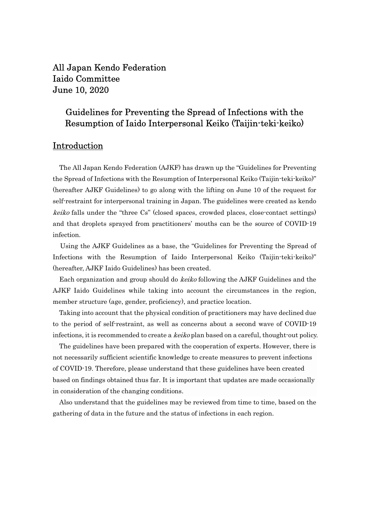All Japan Kendo Federation Iaido Committee June 10, 2020

# Guidelines for Preventing the Spread of Infections with the Resumption of Iaido Interpersonal Keiko (Taijin-teki-keiko)

# Introduction

The All Japan Kendo Federation (AJKF) has drawn up the "Guidelines for Preventing the Spread of Infections with the Resumption of Interpersonal Keiko (Taijin-teki-keiko)" (hereafter AJKF Guidelines) to go along with the lifting on June 10 of the request for self-restraint for interpersonal training in Japan. The guidelines were created as kendo keiko falls under the "three Cs" (closed spaces, crowded places, close-contact settings) and that droplets sprayed from practitioners' mouths can be the source of COVID-19 infection.

Using the AJKF Guidelines as a base, the "Guidelines for Preventing the Spread of Infections with the Resumption of Iaido Interpersonal Keiko (Taijin-teki-keiko)" (hereafter, AJKF Iaido Guidelines) has been created.

Each organization and group should do keiko following the AJKF Guidelines and the AJKF Iaido Guidelines while taking into account the circumstances in the region, member structure (age, gender, proficiency), and practice location.

 Taking into account that the physical condition of practitioners may have declined due to the period of self-restraint, as well as concerns about a second wave of COVID-19 infections, it is recommended to create a keiko plan based on a careful, thought-out policy.

 The guidelines have been prepared with the cooperation of experts. However, there is not necessarily sufficient scientific knowledge to create measures to prevent infections of COVID-19. Therefore, please understand that these guidelines have been created based on findings obtained thus far. It is important that updates are made occasionally in consideration of the changing conditions.

Also understand that the guidelines may be reviewed from time to time, based on the gathering of data in the future and the status of infections in each region.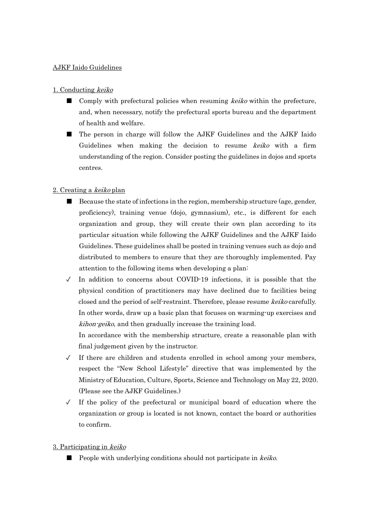## AJKF Iaido Guidelines

# 1. Conducting keiko

- Comply with prefectural policies when resuming *keiko* within the prefecture, and, when necessary, notify the prefectural sports bureau and the department of health and welfare.
- The person in charge will follow the AJKF Guidelines and the AJKF Iaido Guidelines when making the decision to resume keiko with a firm understanding of the region. Consider posting the guidelines in dojos and sports centres.

# 2. Creating a keiko plan

- Because the state of infections in the region, membership structure (age, gender, proficiency), training venue (dojo, gymnasium), etc., is different for each organization and group, they will create their own plan according to its particular situation while following the AJKF Guidelines and the AJKF Iaido Guidelines. These guidelines shall be posted in training venues such as dojo and distributed to members to ensure that they are thoroughly implemented. Pay attention to the following items when developing a plan:
- $\checkmark$  In addition to concerns about COVID-19 infections, it is possible that the physical condition of practitioners may have declined due to facilities being closed and the period of self-restraint. Therefore, please resume keiko carefully. In other words, draw up a basic plan that focuses on warming-up exercises and kihon-geiko, and then gradually increase the training load.

In accordance with the membership structure, create a reasonable plan with final judgement given by the instructor.

- $\checkmark$  If there are children and students enrolled in school among your members, respect the "New School Lifestyle" directive that was implemented by the Ministry of Education, Culture, Sports, Science and Technology on May 22, 2020. (Please see the AJKF Guidelines.)
- $\sqrt{ }$  If the policy of the prefectural or municipal board of education where the organization or group is located is not known, contact the board or authorities to confirm.

## 3. Participating in keiko

■ People with underlying conditions should not participate in *keiko*.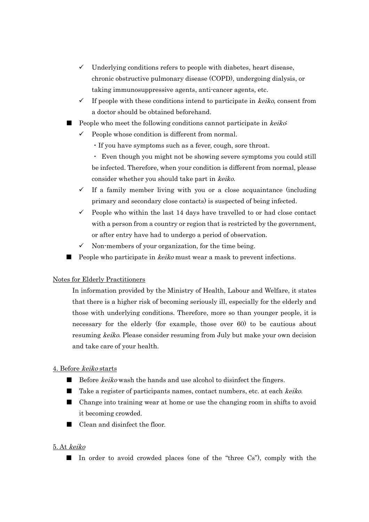- $\checkmark$  Underlying conditions refers to people with diabetes, heart disease, chronic obstructive pulmonary disease (COPD), undergoing dialysis, or taking immunosuppressive agents, anti-cancer agents, etc.
- $\checkmark$  If people with these conditions intend to participate in *keiko*, consent from a doctor should be obtained beforehand.
- People who meet the following conditions cannot participate in keiko:
	- People whose condition is different from normal.
		- ・If you have symptoms such as a fever, cough, sore throat.

・ Even though you might not be showing severe symptoms you could still be infected. Therefore, when your condition is different from normal, please consider whether you should take part in keiko.

- $\checkmark$  If a family member living with you or a close acquaintance (including primary and secondary close contacts) is suspected of being infected.
- People who within the last 14 days have travelled to or had close contact with a person from a country or region that is restricted by the government, or after entry have had to undergo a period of observation.
- $\checkmark$  Non-members of your organization, for the time being.
- People who participate in *keiko* must wear a mask to prevent infections.

#### Notes for Elderly Practitioners

In information provided by the Ministry of Health, Labour and Welfare, it states that there is a higher risk of becoming seriously ill, especially for the elderly and those with underlying conditions. Therefore, more so than younger people, it is necessary for the elderly (for example, those over 60) to be cautious about resuming keiko. Please consider resuming from July but make your own decision and take care of your health.

#### 4. Before keiko starts

- Before *keiko* wash the hands and use alcohol to disinfect the fingers.
- Take a register of participants names, contact numbers, etc. at each *keiko*.
- Change into training wear at home or use the changing room in shifts to avoid it becoming crowded.
- Clean and disinfect the floor.

#### 5. At keiko

■ In order to avoid crowded places (one of the "three Cs"), comply with the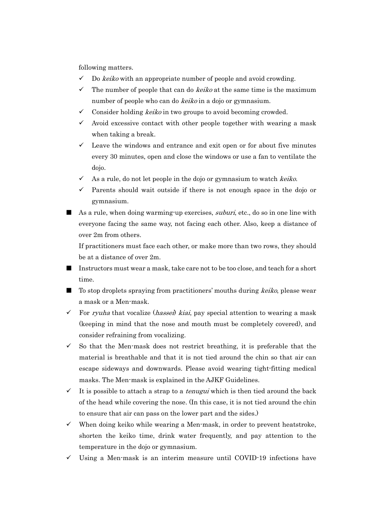following matters.

- $\checkmark$  Do *keiko* with an appropriate number of people and avoid crowding.
- $\checkmark$  The number of people that can do *keiko* at the same time is the maximum number of people who can do *keiko* in a dojo or gymnasium.
- $\checkmark$  Consider holding *keiko* in two groups to avoid becoming crowded.
- $\checkmark$  Avoid excessive contact with other people together with wearing a mask when taking a break.
- $\checkmark$  Leave the windows and entrance and exit open or for about five minutes every 30 minutes, open and close the windows or use a fan to ventilate the dojo.
- $\checkmark$  As a rule, do not let people in the dojo or gymnasium to watch keiko.
- $\checkmark$  Parents should wait outside if there is not enough space in the dojo or gymnasium.
- As a rule, when doing warming-up exercises, *suburi*, etc., do so in one line with everyone facing the same way, not facing each other. Also, keep a distance of over 2m from others.

If practitioners must face each other, or make more than two rows, they should be at a distance of over 2m.

- Instructors must wear a mask, take care not to be too close, and teach for a short time.
- To stop droplets spraying from practitioners' mouths during *keiko*, please wear a mask or a Men-mask.
- For ryuha that vocalize (*hassei*) kiai, pay special attention to wearing a mask (keeping in mind that the nose and mouth must be completely covered), and consider refraining from vocalizing.
- $\checkmark$  So that the Men-mask does not restrict breathing, it is preferable that the material is breathable and that it is not tied around the chin so that air can escape sideways and downwards. Please avoid wearing tight-fitting medical masks. The Men-mask is explained in the AJKF Guidelines.
- $\checkmark$  It is possible to attach a strap to a *tenugui* which is then tied around the back of the head while covering the nose. (In this case, it is not tied around the chin to ensure that air can pass on the lower part and the sides.)
- When doing keiko while wearing a Men-mask, in order to prevent heatstroke, shorten the keiko time, drink water frequently, and pay attention to the temperature in the dojo or gymnasium.
- $\checkmark$  Using a Men-mask is an interim measure until COVID-19 infections have